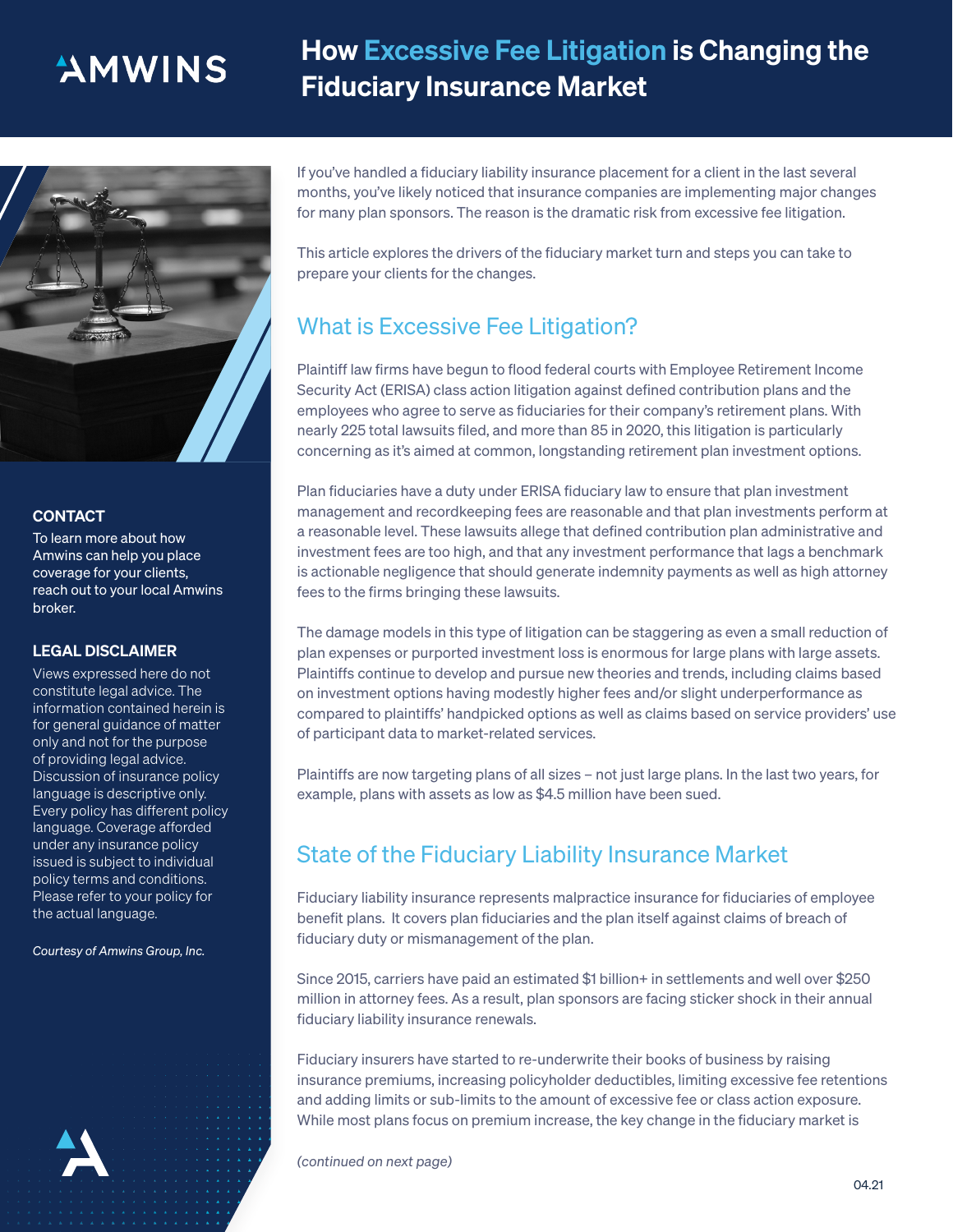# AMWINS

## How Excessive Fee Litigation is Changing the Fiduciary Insurance Market



#### **CONTACT**

To learn more about how Amwins can help you place coverage for your clients, reach out to your local Amwins broker.

#### LEGAL DISCLAIMER

Views expressed here do not constitute legal advice. The information contained herein is for general guidance of matter only and not for the purpose of providing legal advice. Discussion of insurance policy language is descriptive only. Every policy has different policy language. Coverage afforded under any insurance policy issued is subject to individual policy terms and conditions. Please refer to your policy for the actual language.

*Courtesy of Amwins Group, Inc.*

If you've handled a fiduciary liability insurance placement for a client in the last several months, you've likely noticed that insurance companies are implementing major changes for many plan sponsors. The reason is the dramatic risk from excessive fee litigation.

This article explores the drivers of the fiduciary market turn and steps you can take to prepare your clients for the changes.

### What is Excessive Fee Litigation?

Plaintiff law firms have begun to flood federal courts with Employee Retirement Income Security Act (ERISA) class action litigation against defined contribution plans and the employees who agree to serve as fiduciaries for their company's retirement plans. With nearly 225 total lawsuits filed, and more than 85 in 2020, this litigation is particularly concerning as it's aimed at common, longstanding retirement plan investment options.

Plan fiduciaries have a duty under ERISA fiduciary law to ensure that plan investment management and recordkeeping fees are reasonable and that plan investments perform at a reasonable level. These lawsuits allege that defined contribution plan administrative and investment fees are too high, and that any investment performance that lags a benchmark is actionable negligence that should generate indemnity payments as well as high attorney fees to the firms bringing these lawsuits.

The damage models in this type of litigation can be staggering as even a small reduction of plan expenses or purported investment loss is enormous for large plans with large assets. Plaintiffs continue to develop and pursue new theories and trends, including claims based on investment options having modestly higher fees and/or slight underperformance as compared to plaintiffs' handpicked options as well as claims based on service providers' use of participant data to market-related services.

Plaintiffs are now targeting plans of all sizes – not just large plans. In the last two years, for example, plans with assets as low as \$4.5 million have been sued.

### State of the Fiduciary Liability Insurance Market

Fiduciary liability insurance represents malpractice insurance for fiduciaries of employee benefit plans. It covers plan fiduciaries and the plan itself against claims of breach of fiduciary duty or mismanagement of the plan.

Since 2015, carriers have paid an estimated \$1 billion+ in settlements and well over \$250 million in attorney fees. As a result, plan sponsors are facing sticker shock in their annual fiduciary liability insurance renewals.

Fiduciary insurers have started to re-underwrite their books of business by raising insurance premiums, increasing policyholder deductibles, limiting excessive fee retentions and adding limits or sub-limits to the amount of excessive fee or class action exposure. While most plans focus on premium increase, the key change in the fiduciary market is

*(continued on next page)*